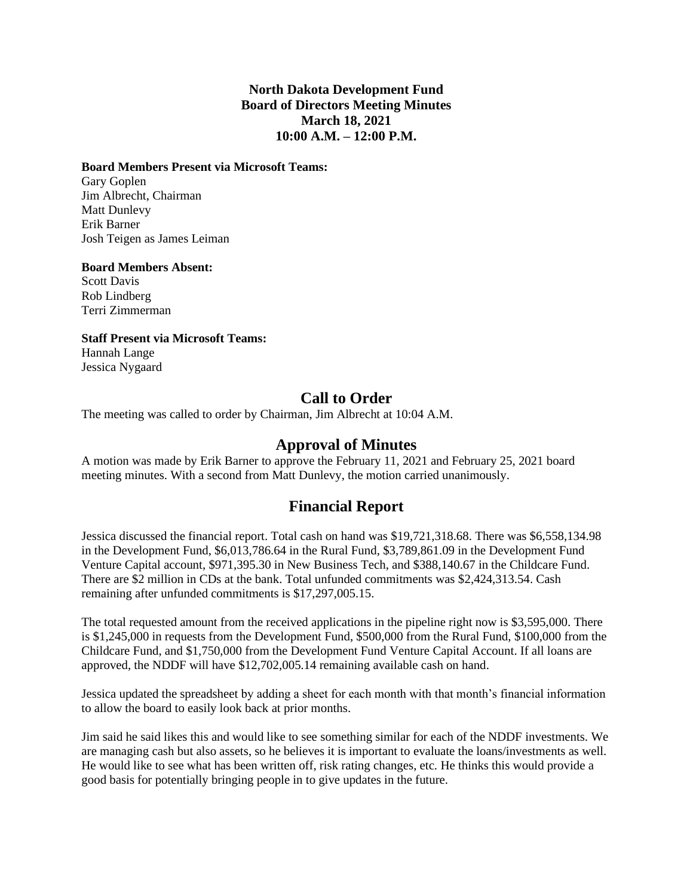### **North Dakota Development Fund Board of Directors Meeting Minutes March 18, 2021 10:00 A.M. – 12:00 P.M.**

#### **Board Members Present via Microsoft Teams:**

Gary Goplen Jim Albrecht, Chairman Matt Dunlevy Erik Barner Josh Teigen as James Leiman

#### **Board Members Absent:**

Scott Davis Rob Lindberg Terri Zimmerman

### **Staff Present via Microsoft Teams:**

Hannah Lange Jessica Nygaard

## **Call to Order**

The meeting was called to order by Chairman, Jim Albrecht at 10:04 A.M.

## **Approval of Minutes**

A motion was made by Erik Barner to approve the February 11, 2021 and February 25, 2021 board meeting minutes. With a second from Matt Dunlevy, the motion carried unanimously.

# **Financial Report**

Jessica discussed the financial report. Total cash on hand was \$19,721,318.68. There was \$6,558,134.98 in the Development Fund, \$6,013,786.64 in the Rural Fund, \$3,789,861.09 in the Development Fund Venture Capital account, \$971,395.30 in New Business Tech, and \$388,140.67 in the Childcare Fund. There are \$2 million in CDs at the bank. Total unfunded commitments was \$2,424,313.54. Cash remaining after unfunded commitments is \$17,297,005.15.

The total requested amount from the received applications in the pipeline right now is \$3,595,000. There is \$1,245,000 in requests from the Development Fund, \$500,000 from the Rural Fund, \$100,000 from the Childcare Fund, and \$1,750,000 from the Development Fund Venture Capital Account. If all loans are approved, the NDDF will have \$12,702,005.14 remaining available cash on hand.

Jessica updated the spreadsheet by adding a sheet for each month with that month's financial information to allow the board to easily look back at prior months.

Jim said he said likes this and would like to see something similar for each of the NDDF investments. We are managing cash but also assets, so he believes it is important to evaluate the loans/investments as well. He would like to see what has been written off, risk rating changes, etc. He thinks this would provide a good basis for potentially bringing people in to give updates in the future.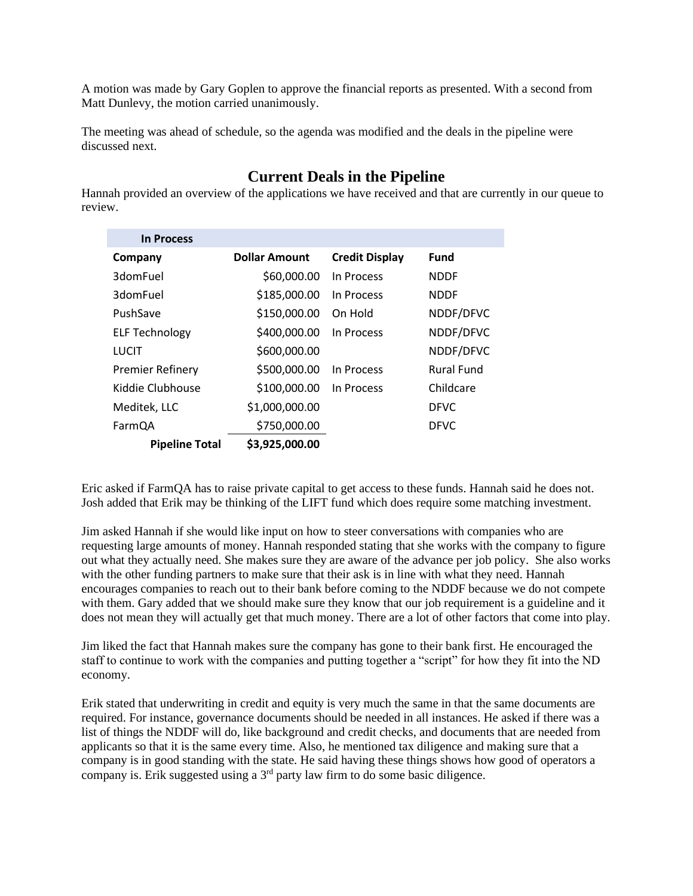A motion was made by Gary Goplen to approve the financial reports as presented. With a second from Matt Dunlevy, the motion carried unanimously.

The meeting was ahead of schedule, so the agenda was modified and the deals in the pipeline were discussed next.

# **Current Deals in the Pipeline**

Hannah provided an overview of the applications we have received and that are currently in our queue to review.

| <b>In Process</b>       |                      |                       |                   |
|-------------------------|----------------------|-----------------------|-------------------|
| Company                 | <b>Dollar Amount</b> | <b>Credit Display</b> | <b>Fund</b>       |
| 3domFuel                | \$60,000.00          | In Process            | <b>NDDF</b>       |
| 3domFuel                | \$185,000.00         | In Process            | <b>NDDF</b>       |
| PushSave                | \$150,000.00         | On Hold               | NDDF/DFVC         |
| <b>ELF Technology</b>   | \$400,000.00         | In Process            | NDDF/DFVC         |
| LUCIT                   | \$600,000.00         |                       | NDDF/DFVC         |
| <b>Premier Refinery</b> | \$500,000.00         | In Process            | <b>Rural Fund</b> |
| Kiddie Clubhouse        | \$100,000.00         | In Process            | Childcare         |
| Meditek, LLC            | \$1,000,000.00       |                       | <b>DFVC</b>       |
| FarmQA                  | \$750,000.00         |                       | <b>DFVC</b>       |
| <b>Pipeline Total</b>   | \$3,925,000.00       |                       |                   |

Eric asked if FarmQA has to raise private capital to get access to these funds. Hannah said he does not. Josh added that Erik may be thinking of the LIFT fund which does require some matching investment.

Jim asked Hannah if she would like input on how to steer conversations with companies who are requesting large amounts of money. Hannah responded stating that she works with the company to figure out what they actually need. She makes sure they are aware of the advance per job policy. She also works with the other funding partners to make sure that their ask is in line with what they need. Hannah encourages companies to reach out to their bank before coming to the NDDF because we do not compete with them. Gary added that we should make sure they know that our job requirement is a guideline and it does not mean they will actually get that much money. There are a lot of other factors that come into play.

Jim liked the fact that Hannah makes sure the company has gone to their bank first. He encouraged the staff to continue to work with the companies and putting together a "script" for how they fit into the ND economy.

Erik stated that underwriting in credit and equity is very much the same in that the same documents are required. For instance, governance documents should be needed in all instances. He asked if there was a list of things the NDDF will do, like background and credit checks, and documents that are needed from applicants so that it is the same every time. Also, he mentioned tax diligence and making sure that a company is in good standing with the state. He said having these things shows how good of operators a company is. Erik suggested using a  $3<sup>rd</sup>$  party law firm to do some basic diligence.